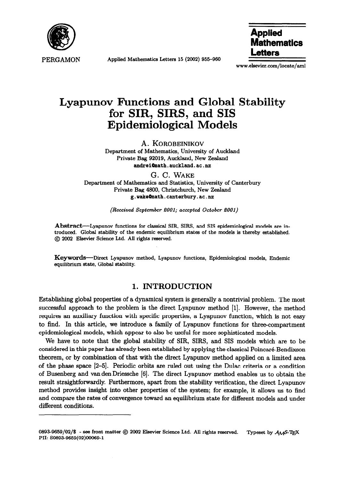

**Applied Mathematics Letters 15 (2002) 955-960** 

Applied **Mathematics**  itters

**www.elsevier.com/locate/aml** 

# **Lyapunov Functions and Global Stability for SIR, SIRS, and SIS Epidemiological Models**

**A. KOROBEINIKOV** 

**Department of Mathematics, University of Auckland Private Bag 92019, Auckland, New Zealand**  andrei@math.auckland.ac.nz

**G. C. WAKE Department of Mathematics and Statistics, University of Canterbury Private Bag 4800, Christchurch, New Zealand g.wakeQmath.cauterbury.ac.uz** 

*(Received September 2001; accepted October 2001)* 

Abstract—Lyapunov functions for classical SIR, SIRS, and SIS epidemiological models are in**troduced. Global stability of the endemic equilibrium states of the models is thereby established. @ 2002 Elsevier Science Ltd. All rights reserved.** 

**Keywords-Direct Lyapunov method, Lyapunov functions, Epidemiological models, Endemic equilibrium state, Global stability.** 

## **1. INTRODUCTION**

**Establishing global** properties of a dynamical system is generally a nontrivial problem. The most successful approach to the problem is the direct Lyapunov method [l]. However, the method requires an auxiliary function with specific properties, a Lyapunov function, which is not easy to find. In this article, we introduce a family of Lyapunov functions for three-compartment epidemiological models, which appear to also be useful for more sophisticated models.

We have to note that the global stability of SIR, SIRS, and SIS models which are to be considered in this paper has already been established by applying the classical Poincaré-Bendixson theorem, or by combination of that with the direct Lyapunov method applied on a limited area of the phase space [2-51. Periodic orbits are ruled out using the Dulac criteria or a condition of Busenberg and van den Driessche [6]. The direct Lyapunov method enables us to obtain the result straightforwardly. Furthermore, apart from the stability verification, the direct Lyapunov method provides insight into other properties of the system; for example, it allows us to find and compare the rates of convergence toward an equilibrium state for different models and under different conditions.

**<sup>0893-9659/02/\$</sup>** - see front matter © 2002 Elsevier Science Ltd. All rights reserved. Typeset by  $A_{\mathcal{M}}$ S-TEX **PII: SO893-9659(02)00069-l**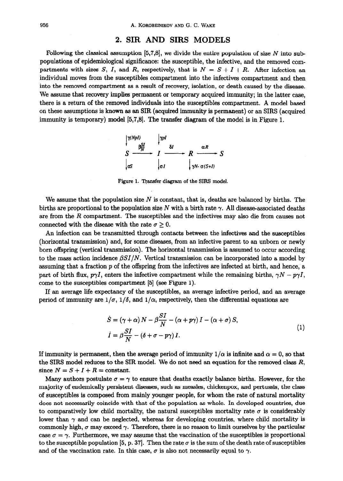#### **2. SIR AND SIRS MODELS**

Following the classical assumption  $[5,7,8]$ , we divide the entire population of size N into subpopulations of epidemiological significance: the susceptible, the infective, and the removed compartments with sizes S, I, and R, respectively, that is  $N = S + I + R$ . After infection an individual moves from the susceptibles compartment into the infectives compartment and then into the removed compartment as a result of recovery, isolation, or death caused by the disease. We assume that recovery implies permanent or temporary acquired immunity; in the latter case, there is a return of the removed individuals into the susceptibles compartment. A model based on these assumptions is known as an SIR (acquired immunity is permanent) or an SIRS (acquired immunity is temporary) model [5,7,8]. The transfer diagram of the model is in Figure 1.

 $\begin{array}{ccc}\n & \uparrow \cdots \\
\hline\n\delta I & \rightarrow R & \stackrel{\alpha R}{\longrightarrow} S\n\end{array}$ 00 ا

Figure 1. Transfer diagram of the SIRS model.

We assume that the population size  $N$  is constant, that is, deaths are balanced by births. The births are proportional to the population size N with a birth rate  $\gamma$ . All disease-associated deaths are from the *R* compartment. The susceptibles and the infectives may also die from causes not connected with the disease with the rate  $\sigma \geq 0$ .

An infection can be transmitted through contacts between the infectives and the susceptibles (horizontal transmission) and, for some diseases, from an infective parent to an unborn or newly born offspring (vertical transmission). The horizontal transmission is assumed to occur according to the mass action incidence  $\beta SI/N$ . Vertical transmission can be incorporated into a model by assuming that a fraction p of the offspring from the infectives are infected at birth, and hence, a part of birth flux,  $p\gamma I$ , enters the infective compartment while the remaining births,  $\gamma N - p\gamma I$ , come to the susceptibles compartment [S] (see Figure 1).

If an average life expectancy of the susceptibles, an average infective period, and an average period of immunity are  $1/\sigma$ ,  $1/\delta$ , and  $1/\alpha$ , respectively, then the differential equations are

$$
\dot{S} = (\gamma + \alpha) N - \beta \frac{SI}{N} - (\alpha + p\gamma) I - (\alpha + \sigma) S,
$$
  
\n
$$
\dot{I} = \beta \frac{SI}{N} - (\delta + \sigma - p\gamma) I.
$$
\n(1)

If immunity is permanent, then the average period of immunity  $1/\alpha$  is infinite and  $\alpha = 0$ , so that the SIRS model reduces to the SIR model. We do not need an equation for the removed class *R,*  since  $N = S + I + R = constant$ .

Many authors postulate  $\sigma = \gamma$  to ensure that deaths exactly balance births. However, for the majority of endemically persistent diseases, such as measles, chickenpox, and pertussis, the class of susceptibles is composed from mainly younger people, for whom the rate of natural mortality does not necessarily coincide with that of the population as whole. In developed countries, due to comparatively low child mortality, the natural susceptibles mortality rate  $\sigma$  is considerably lower than  $\gamma$  and can be neglected, whereas for developing countries, where child mortality is commonly high,  $\sigma$  may exceed  $\gamma$ . Therefore, there is no reason to limit ourselves by the particular case  $\sigma = \gamma$ . Furthermore, we may assume that the vaccination of the susceptibles is proportional to the susceptible population [5, p. 37]. Then the rate  $\sigma$  is the sum of the death rate of susceptibles and of the vaccination rate. In this case,  $\sigma$  is also not necessarily equal to  $\gamma$ .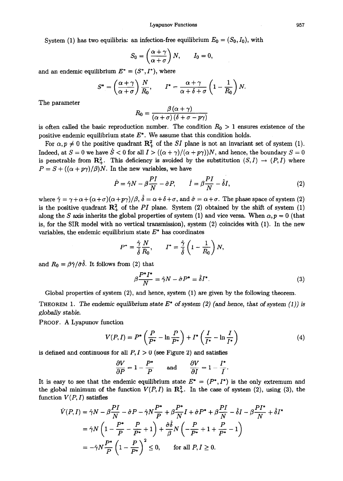System (1) has two equilibria: an infection-free equilibrium  $E_0 = (S_0, I_0)$ , with

$$
S_0 = \left(\frac{\alpha + \gamma}{\alpha + \sigma}\right)N, \qquad I_0 = 0,
$$

and an endemic equilibrium  $E^* = (S^*, I^*)$ , where

$$
S^* = \left(\frac{\alpha + \gamma}{\alpha + \sigma}\right) \frac{N}{R_0}, \qquad I^* = \frac{\alpha + \gamma}{\alpha + \delta + \sigma} \left(1 - \frac{1}{R_0}\right) N.
$$

The parameter

$$
R_0 = \frac{\beta(\alpha + \gamma)}{(\alpha + \sigma)(\delta + \sigma - p\gamma)}
$$

is often called the basic reproduction number. The condition  $R_0 > 1$  ensures existence of the positive endemic equilibrium state *E\*.* We assume that this condition holds.

For  $\alpha, p \neq 0$  the positive quadrant  $\mathbb{R}^2_+$  of the SI plane is not an invariant set of system (1). Indeed, at  $S = 0$  we have  $\dot{S} < 0$  for all  $I > ((\alpha + \gamma)/(\alpha + p\gamma))N$ , and hence, the boundary  $S = 0$ is penetrable from  $\mathbb{R}^2_+$ . This deficiency is avoided by the substitution  $(S, I) \rightarrow (P, I)$  where  $P = S + ((\alpha + p\gamma)/\beta)N$ . In the new variables, we have

$$
\dot{P} = \hat{\gamma}N - \beta\frac{PI}{N} - \hat{\sigma}P, \qquad \dot{I} = \beta\frac{PI}{N} - \hat{\delta}I,\tag{2}
$$

where  $\hat{\gamma} = \gamma + \alpha + (\alpha + \sigma)(\alpha + p\gamma)/\beta$ ,  $\hat{\delta} = \alpha + \delta + \sigma$ , and  $\hat{\sigma} = \alpha + \sigma$ . The phase space of system (2) is the positive quadrant  $\mathbb{R}^2$  of the *PI* plane. System (2) obtained by the shift of system (1) along the S axis inherits the global properties of system (1) and vice versa. When  $\alpha, p = 0$  (that is, for the SIR model with no vertical transmission), system (2) coincides with (1). In the new variables, the endemic equilibrium state  $E^*$  has coordinates

$$
P^* = \frac{\hat{\gamma}}{\hat{\delta}} \frac{N}{R_0}, \qquad I^* = \frac{\hat{\gamma}}{\hat{\delta}} \left( 1 - \frac{1}{R_0} \right) N,
$$

and  $R_0 = \beta \hat{\gamma}/\hat{\sigma} \hat{\delta}$ . It follows from (2) that

$$
\beta \frac{P^* I^*}{N} = \hat{\gamma} N - \hat{\sigma} P^* = \hat{\delta} I^*.
$$
 (3)

Global properties of system (2), and hence, system (1) are given by the following theorem.

**THEOREM 1.** The endemic equilibrium state  $E^*$  of system (2) (and hence, that of system (1)) is *globally stable.* 

**PROOF.** A Lyapunov function

$$
V(P,I) = P^* \left( \frac{P}{P^*} - \ln \frac{P}{P^*} \right) + I^* \left( \frac{I}{I^*} - \ln \frac{I}{I^*} \right) \tag{4}
$$

is defined and continuous for all  $P, I > 0$  (see Figure 2) and satisfies

$$
\frac{\partial V}{\partial P} = 1 - \frac{P^*}{P} \quad \text{and} \quad \frac{\partial V}{\partial I} = 1 - \frac{I^*}{I}.
$$

It is easy to see that the endemic equilibrium state  $E^* = (P^*, I^*)$  is the only extremum and the global minimum of the function  $V(P, I)$  in  $\mathbb{R}^2_+$ . In the case of system (2), using (3), the function  $V(P, I)$  satisfies

$$
\dot{V}(P, I) = \hat{\gamma}N - \beta \frac{PI}{N} - \hat{\sigma}P - \hat{\gamma}N \frac{P^*}{P} + \beta \frac{P^*}{N}I + \hat{\sigma}P^* + \beta \frac{PI}{N} - \hat{\delta}I - \beta \frac{PI^*}{N} + \hat{\delta}I^*
$$

$$
= \hat{\gamma}N \left(1 - \frac{P^*}{P} - \frac{P}{P^*} + 1\right) + \frac{\hat{\sigma}\hat{\delta}}{\beta}N \left(-\frac{P}{P^*} + 1 + \frac{P}{P^*} - 1\right)
$$

$$
= -\hat{\gamma}N \frac{P^*}{P} \left(1 - \frac{P}{P^*}\right)^2 \le 0, \quad \text{for all } P, I \ge 0.
$$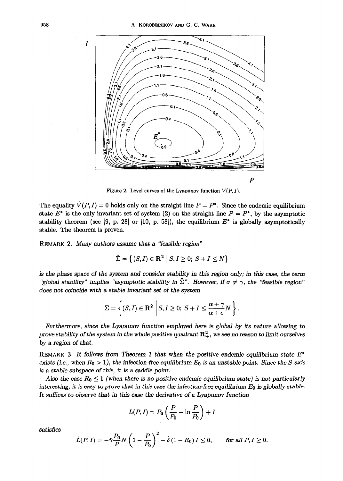

**Figure 2. Level curves of the Lyapunov function**  $V(P, I)$ **.** 

The equality  $\dot{V}(P, I) = 0$  holds only on the straight line  $P = P^*$ . Since the endemic equilibrium state  $E^*$  is the only invariant set of system (2) on the straight line  $P = P^*$ , by the asymptotic stability theorem (see [9, p. 28] or [10, p. 58]), the equilibrium  $E^*$  is globally asymptotically stable. The theorem is proven.

**REMARK 2. Many** authors assume that a "feasible region"

$$
\tilde{\Sigma} = \left\{ (S, I) \in \mathbf{R}^2 \middle| S, I \ge 0; S + I \le N \right\}
$$

*is the* phase space of the system and consider stability in this *region only;* in this case, the term "global stability" implies "asymptotic stability in  $\tilde{\Sigma}$ ". However, if  $\sigma \neq \gamma$ , the "feasible region" does not coincide with a stable invariant set of the system

$$
\Sigma = \left\{ (S, I) \in \mathbf{R}^2 \; \middle| \; S, I \geq 0; \; S + I \leq \frac{\alpha + \gamma}{\alpha + \sigma} N \right\}.
$$

Furthermore, since the Lyapunov function employed here is global by its nature allowing to *prove stability of the system in the whole positive quadrant*  $\mathbb{R}^2_+$ , we see no reason to limit ourselves by a region of that.

**REMARK 3. It follows** from Theorem 1 that when the positive endemic equilibrium state *E\**  exists (i.e., when  $R_0 > 1$ ), the infection-free equilibrium  $E_0$  is an unstable point. Since the S axis is a stable subspace of this, it is a saddle point.

Also the case  $R_0 \leq 1$  (when there is no positive endemic equilibrium state) is not particularly interesting, it is easy to prove that in this case the infection-free equilibrium  $E_0$  is globally stable. It suffices to observe that **in this case the derivative of a Lyapunov function** 

$$
L(P, I) = P_0 \left(\frac{P}{P_0} - \ln \frac{P}{P_0}\right) + I
$$

satisfies

$$
\dot{L}(P,I)=-\hat{\gamma}\frac{P_0}{P}N\left(1-\frac{P}{P_0}\right)^2-\hat{\delta}(1-R_0)I\leq 0, \quad \text{for all } P,I\geq 0.
$$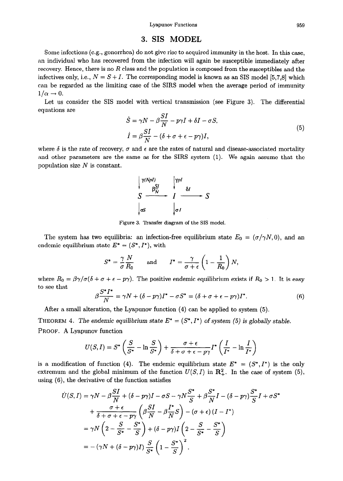### **3. SIS MODEL**

Some infections (e.g., gonorrhea) do not give rise to acquired immunity in the host. In this case, an individual who has recovered from the infection will again be susceptible immediately after recovery. Hence, there is no *R* class and the population is composed from the susceptibles and the infectives only, i.e.,  $N = S + I$ . The corresponding model is known as an SIS model [5,7,8] which can be regarded as the limiting case of the SIRS model when the average period of immunity  $1/\alpha \rightarrow 0$ .

Let us consider the SIS model with vertical transmission (see Figure 3). The differential equations are  $\alpha r$ 

$$
\dot{S} = \gamma N - \beta \frac{SI}{N} - p\gamma I + \delta I - \sigma S,
$$
  
\n
$$
\dot{I} = \beta \frac{SI}{N} - (\delta + \sigma + \epsilon - p\gamma)I,
$$
\n(5)

where  $\delta$  is the rate of recovery,  $\sigma$  and  $\epsilon$  are the rates of natural and disease-associated mortality and other parameters are the same as for the SIRS system (1). We again assume that the population size  $N$  is constant.

$$
\begin{array}{ccc}\n\sqrt{\gamma(NpI)} & \sqrt{\gamma pI} \\
S & & I & \rightarrow S \\
\hline\n\int_{\sigma S} & \int_{\sigma I} & & \rightarrow S\n\end{array}
$$

Figure 3. Transfer diagram of the SIS model.

The system has two equilibria: an infection-free equilibrium state  $E_0 = (\sigma/\gamma N, 0)$ , and an endemic equilibrium state  $E^* = (S^*, I^*)$ , with

$$
S^* = \frac{\gamma}{\sigma} \frac{N}{R_0} \quad \text{and} \quad I^* = \frac{\gamma}{\sigma + \epsilon} \left( 1 - \frac{1}{R_0} \right) N
$$

where  $R_0 = \beta \gamma / \sigma (\delta + \sigma + \epsilon - p \gamma)$ . The positive endemic equilibrium exists if  $R_0 > 1$ . It is easy to see that

$$
\beta \frac{S^* I^*}{N} = \gamma N + (\delta - p\gamma)I^* - \sigma S^* = (\delta + \sigma + \epsilon - p\gamma)I^*.
$$
 (6)

After a small alteration, the Lyapunov function (4) can be applied to system (5).

THEOREM 4. The endemic equilibrium state  $E^* = (S^*, I^*)$  of system (5) is globally stable. PROOF. A Lyapunov function

$$
U(S,I) = S^* \left( \frac{S}{S^*} - \ln \frac{S}{S^*} \right) + \frac{\sigma + \epsilon}{\delta + \sigma + \epsilon - p\gamma} I^* \left( \frac{I}{I^*} - \ln \frac{I}{I^*} \right)
$$

is a modification of function (4). The endemic equilibrium state  $E^* = (S^*, I^*)$  is the only extremum and the global minimum of the function  $U(S, I)$  in  $\mathbb{R}^2_+$ . In the case of system (5), using (6), the derivative of the function satisfies

$$
\dot{U}(S,I) = \gamma N - \beta \frac{SI}{N} + (\delta - p\gamma)I - \sigma S - \gamma N \frac{S^*}{S} + \beta \frac{S^*}{N}I - (\delta - p\gamma) \frac{S^*}{S}I + \sigma S^*
$$

$$
+ \frac{\sigma + \epsilon}{\delta + \sigma + \epsilon - p\gamma} \left(\beta \frac{SI}{N} - \beta \frac{I^*}{N}S\right) - (\sigma + \epsilon)(I - I^*)
$$

$$
= \gamma N \left(2 - \frac{S}{S^*} - \frac{S^*}{S}\right) + (\delta - p\gamma)I\left(2 - \frac{S}{S^*} - \frac{S^*}{S}\right)
$$

$$
= -(\gamma N + (\delta - p\gamma)I) \frac{S}{S^*} \left(1 - \frac{S^*}{S}\right)^2.
$$